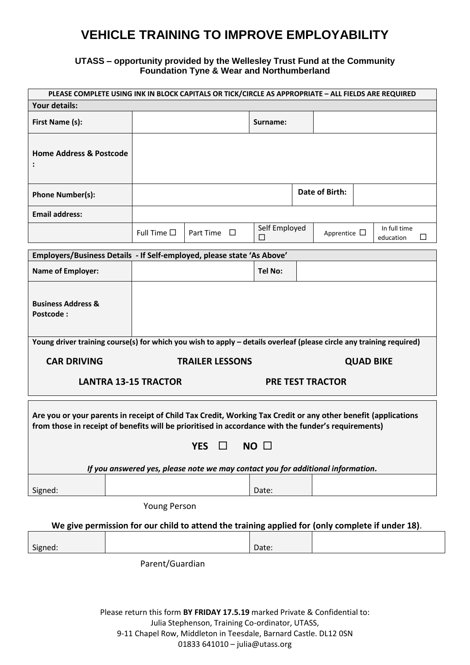## **VEHICLE TRAINING TO IMPROVE EMPLOYABILITY**

## **UTASS – opportunity provided by the Wellesley Trust Fund at the Community Foundation Tyne & Wear and Northumberland**

| PLEASE COMPLETE USING INK IN BLOCK CAPITALS OR TICK/CIRCLE AS APPROPRIATE - ALL FIELDS ARE REQUIRED                                                                                                                  |                             |                     |                        |                                                                                 |                         |                  |                                |
|----------------------------------------------------------------------------------------------------------------------------------------------------------------------------------------------------------------------|-----------------------------|---------------------|------------------------|---------------------------------------------------------------------------------|-------------------------|------------------|--------------------------------|
| Your details:                                                                                                                                                                                                        |                             |                     |                        |                                                                                 |                         |                  |                                |
| First Name (s):                                                                                                                                                                                                      |                             |                     |                        | Surname:                                                                        |                         |                  |                                |
| <b>Home Address &amp; Postcode</b>                                                                                                                                                                                   |                             |                     |                        |                                                                                 |                         |                  |                                |
| <b>Phone Number(s):</b>                                                                                                                                                                                              |                             |                     |                        |                                                                                 | Date of Birth:          |                  |                                |
| <b>Email address:</b>                                                                                                                                                                                                |                             |                     |                        |                                                                                 |                         |                  |                                |
|                                                                                                                                                                                                                      |                             | Full Time $\square$ | Part Time $\Box$       | Self Employed<br>□                                                              | Apprentice $\Box$       |                  | In full time<br>education<br>Ш |
| Employers/Business Details - If Self-employed, please state 'As Above'                                                                                                                                               |                             |                     |                        |                                                                                 |                         |                  |                                |
| <b>Name of Employer:</b>                                                                                                                                                                                             |                             |                     |                        | <b>Tel No:</b>                                                                  |                         |                  |                                |
| <b>Business Address &amp;</b><br>Postcode:                                                                                                                                                                           |                             |                     |                        |                                                                                 |                         |                  |                                |
| Young driver training course(s) for which you wish to apply - details overleaf (please circle any training required)                                                                                                 |                             |                     |                        |                                                                                 |                         |                  |                                |
|                                                                                                                                                                                                                      |                             |                     |                        |                                                                                 |                         |                  |                                |
| <b>CAR DRIVING</b>                                                                                                                                                                                                   |                             |                     | <b>TRAILER LESSONS</b> |                                                                                 |                         | <b>QUAD BIKE</b> |                                |
|                                                                                                                                                                                                                      | <b>LANTRA 13-15 TRACTOR</b> |                     |                        |                                                                                 | <b>PRE TEST TRACTOR</b> |                  |                                |
| Are you or your parents in receipt of Child Tax Credit, Working Tax Credit or any other benefit (applications<br>from those in receipt of benefits will be prioritised in accordance with the funder's requirements) |                             |                     | <b>YES</b><br>$\Box$   | $NO$ $\square$                                                                  |                         |                  |                                |
|                                                                                                                                                                                                                      |                             |                     |                        | If you answered yes, please note we may contact you for additional information. |                         |                  |                                |
| Signed:                                                                                                                                                                                                              |                             |                     |                        | Date:                                                                           |                         |                  |                                |
|                                                                                                                                                                                                                      |                             | <b>Young Person</b> |                        |                                                                                 |                         |                  |                                |
| We give permission for our child to attend the training applied for (only complete if under 18).                                                                                                                     |                             |                     |                        |                                                                                 |                         |                  |                                |
| Signed:                                                                                                                                                                                                              |                             |                     |                        | Date:                                                                           |                         |                  |                                |
|                                                                                                                                                                                                                      |                             | Parent/Guardian     |                        |                                                                                 |                         |                  |                                |
|                                                                                                                                                                                                                      |                             |                     |                        |                                                                                 |                         |                  |                                |

Please return this form **BY FRIDAY 17.5.19** marked Private & Confidential to:

Julia Stephenson, Training Co-ordinator, UTASS,

9-11 Chapel Row, Middleton in Teesdale, Barnard Castle. DL12 0SN

01833 641010 – julia@utass.org